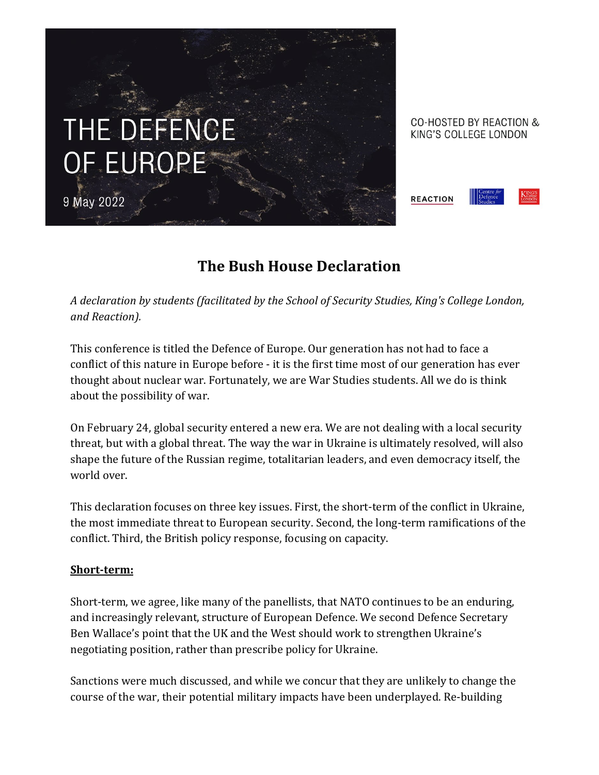# THE DEFENCE OF EUROPE

9 May 2022





## **The Bush House Declaration**

*A declaration by students (facilitated by the School of Security Studies, King's College London, and Reaction).* 

This conference is titled the Defence of Europe. Our generation has not had to face a conflict of this nature in Europe before - it is the first time most of our generation has ever thought about nuclear war. Fortunately, we are War Studies students. All we do is think about the possibility of war.

On February 24, global security entered a new era. We are not dealing with a local security threat, but with a global threat. The way the war in Ukraine is ultimately resolved, will also shape the future of the Russian regime, totalitarian leaders, and even democracy itself, the world over.

This declaration focuses on three key issues. First, the short-term of the conflict in Ukraine, the most immediate threat to European security. Second, the long-term ramifications of the conflict. Third, the British policy response, focusing on capacity.

### **Short-term:**

Short-term, we agree, like many of the panellists, that NATO continues to be an enduring, and increasingly relevant, structure of European Defence. We second Defence Secretary Ben Wallace's point that the UK and the West should work to strengthen Ukraine's negotiating position, rather than prescribe policy for Ukraine.

Sanctions were much discussed, and while we concur that they are unlikely to change the course of the war, their potential military impacts have been underplayed. Re-building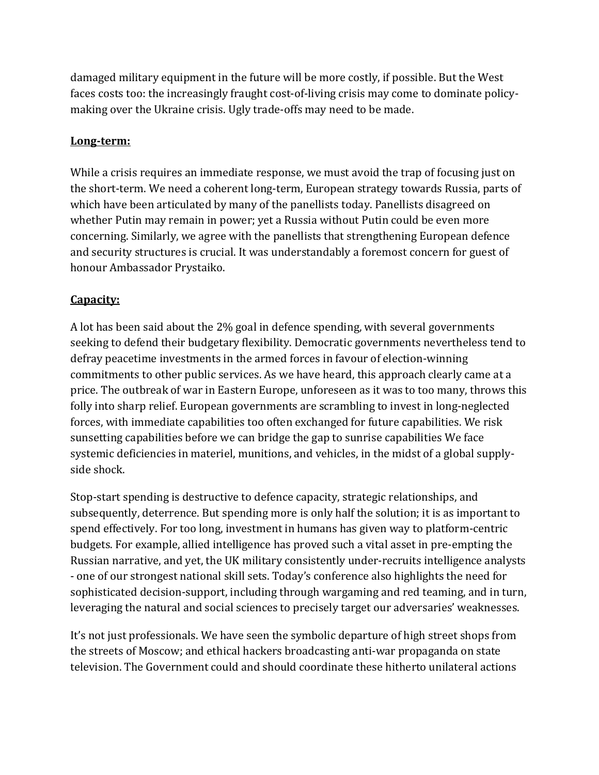damaged military equipment in the future will be more costly, if possible. But the West faces costs too: the increasingly fraught cost-of-living crisis may come to dominate policymaking over the Ukraine crisis. Ugly trade-offs may need to be made.

#### **Long-term:**

While a crisis requires an immediate response, we must avoid the trap of focusing just on the short-term. We need a coherent long-term, European strategy towards Russia, parts of which have been articulated by many of the panellists today. Panellists disagreed on whether Putin may remain in power; yet a Russia without Putin could be even more concerning. Similarly, we agree with the panellists that strengthening European defence and security structures is crucial. It was understandably a foremost concern for guest of honour Ambassador Prystaiko.

### **Capacity:**

A lot has been said about the 2% goal in defence spending, with several governments seeking to defend their budgetary flexibility. Democratic governments nevertheless tend to defray peacetime investments in the armed forces in favour of election-winning commitments to other public services. As we have heard, this approach clearly came at a price. The outbreak of war in Eastern Europe, unforeseen as it was to too many, throws this folly into sharp relief. European governments are scrambling to invest in long-neglected forces, with immediate capabilities too often exchanged for future capabilities. We risk sunsetting capabilities before we can bridge the gap to sunrise capabilities We face systemic deficiencies in materiel, munitions, and vehicles, in the midst of a global supplyside shock.

Stop-start spending is destructive to defence capacity, strategic relationships, and subsequently, deterrence. But spending more is only half the solution; it is as important to spend effectively. For too long, investment in humans has given way to platform-centric budgets. For example, allied intelligence has proved such a vital asset in pre-empting the Russian narrative, and yet, the UK military consistently under-recruits intelligence analysts - one of our strongest national skill sets. Today's conference also highlights the need for sophisticated decision-support, including through wargaming and red teaming, and in turn, leveraging the natural and social sciences to precisely target our adversaries' weaknesses.

It's not just professionals. We have seen the symbolic departure of high street shops from the streets of Moscow; and ethical hackers broadcasting anti-war propaganda on state television. The Government could and should coordinate these hitherto unilateral actions